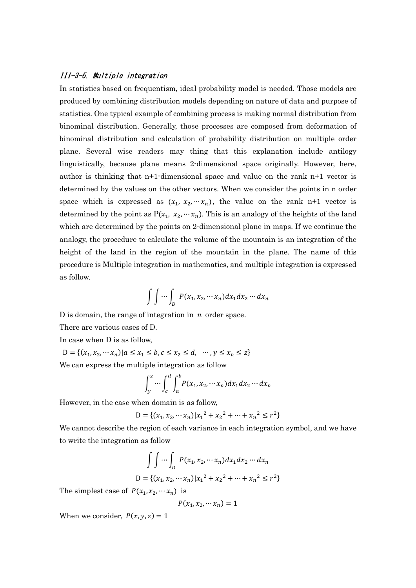## III-3-5. Multiple integration

In statistics based on frequentism, ideal probability model is needed. Those models are produced by combining distribution models depending on nature of data and purpose of statistics. One typical example of combining process is making normal distribution from binominal distribution. Generally, those processes are composed from deformation of binominal distribution and calculation of probability distribution on multiple order plane. Several wise readers may thing that this explanation include antilogy linguistically, because plane means 2-dimensional space originally. However, here, author is thinking that n+1-dimensional space and value on the rank n+1 vector is determined by the values on the other vectors. When we consider the points in n order space which is expressed as  $(x_1, x_2, ..., x_n)$ , the value on the rank n+1 vector is determined by the point as  $P(x_1, x_2, ..., x_n)$ . This is an analogy of the heights of the land which are determined by the points on 2-dimensional plane in maps. If we continue the analogy, the procedure to calculate the volume of the mountain is an integration of the height of the land in the region of the mountain in the plane. The name of this procedure is Multiple integration in mathematics, and multiple integration is expressed as follow.

$$
\int \int \cdots \int_D P(x_1, x_2, \cdots x_n) dx_1 dx_2 \cdots dx_n
$$

D is domain, the range of integration in  $n$  order space.

There are various cases of D.

In case when D is as follow,

 $D = \{ (x_1, x_2, \cdots x_n) | a \le x_1 \le b, c \le x_2 \le d, \cdots, y \le x_n \le z \}$ 

We can express the multiple integration as follow

$$
\int_{y}^{z} \cdots \int_{c}^{d} \int_{a}^{b} P(x_1, x_2, \cdots x_n) dx_1 dx_2 \cdots dx_n
$$

However, in the case when domain is as follow,

$$
D = \{ (x_1, x_2, \cdots x_n) | x_1^2 + x_2^2 + \cdots + x_n^2 \le r^2 \}
$$

We cannot describe the region of each variance in each integration symbol, and we have to write the integration as follow

$$
\int \int \cdots \int_D P(x_1, x_2, \cdots x_n) dx_1 dx_2 \cdots dx_n
$$
  

$$
D = \{(x_1, x_2, \cdots x_n) | x_1^2 + x_2^2 + \cdots + x_n^2 \le r^2 \}
$$

The simplest case of  $P(x_1, x_2, \dots, x_n)$  is

$$
P(x_1, x_2, \cdots x_n) = 1
$$

When we consider,  $P(x, y, z) = 1$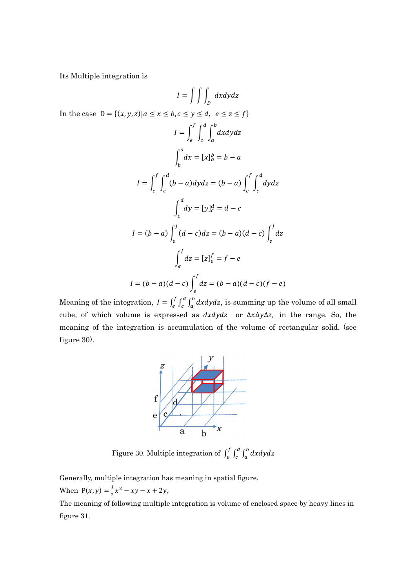Its Multiple integration is

 $I = \begin{pmatrix} \ \ \ \ \ \ \ \ \ \ \ \ \ \ \ \ \ \ \ \ dxdydz \end{pmatrix}$ D In the case  $D = \{(x, y, z) | a \le x \le b, c \le y \le d, e \le z \le f\}$  $I = \int_0^f \int_0^d \int_0^b dx dy dz$  $\it a$  $\boldsymbol{d}$  $\mathcal C$ f e  $\int dx$  $\it a$  $\int_{b} dx = [x]_{a}^{b} = b - a$  $I = \int_0^f \int_0^d (b-a) dy dz$  $\boldsymbol{c}$ f e  $=(b-a)\int_{a}^{f} \int_{a}^{d} dydz$  $\mathcal{C}_{0}^{0}$ f  $\pmb{e}$  $\int_{}^d dy = [y]_c^d = d - c$  $\boldsymbol{c}$  $I = (b - a) \int_{}^f (d - c) dz$ e  $=(b-a)(d-c)\int_0^f dz$ e  $\int$  dz f  $\int_{e}^{f} dz = [z]_{e}^{f} = f - e$  $I = (b - a)(d - c)\int_{}^{f} dz$ e  $=(b - a)(d - c)(f - e)$ 

Meaning of the integration,  $I = \int_{e}^{f} \int_{c}^{d} \int_{a}^{b} dx dy dz$  $\boldsymbol{d}$  $\mathcal{C}_{0}^{2}$ f  $\int_{e}^{f} \int_{a}^{u} \int_{a}^{b} dx dy dz$ , is summing up the volume of all small cube, of which volume is expressed as  $dx dy dz$  or  $\Delta x \Delta y \Delta z$ , in the range. So, the meaning of the integration is accumulation of the volume of rectangular solid. (see figure 30).



Figure 30. Multiple integration of  $\int_c^f \int_c^d \int_a^b dx dy dz$  $\boldsymbol{d}$  $\mathcal C$ f  $\int_{c}^{b} \int_{a}^{b} dx dy dz$ 

Generally, multiple integration has meaning in spatial figure. When  $P(x, y) = \frac{1}{2}$  $\frac{1}{2}x^2 - xy - x + 2y,$ 

The meaning of following multiple integration is volume of enclosed space by heavy lines in figure 31.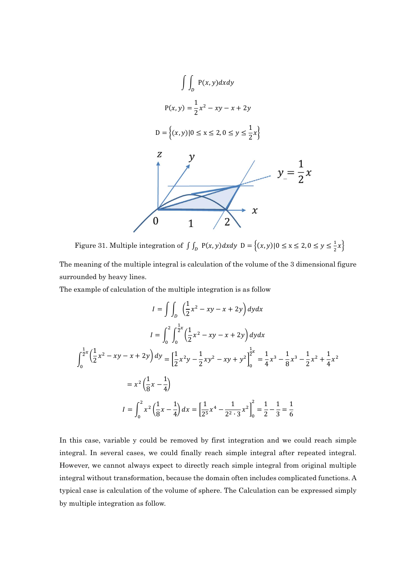

Figure 31. Multiple integration of  $\int_{D} P(x, y) dx dy$   $D = \{(x, y) | 0 \le x \le 2, 0 \le y \le \frac{1}{2}x\}$ 

The meaning of the multiple integral is calculation of the volume of the 3 dimensional figure surrounded by heavy lines.

The example of calculation of the multiple integration is as follow

$$
I = \int \int_{D} \left(\frac{1}{2}x^{2} - xy - x + 2y\right) dy dx
$$
  
\n
$$
I = \int_{0}^{2} \int_{0}^{\frac{1}{2}x} \left(\frac{1}{2}x^{2} - xy - x + 2y\right) dy dx
$$
  
\n
$$
\int_{0}^{\frac{1}{2}x} \left(\frac{1}{2}x^{2} - xy - x + 2y\right) dy = \left[\frac{1}{2}x^{2}y - \frac{1}{2}xy^{2} - xy + y^{2}\right]_{0}^{\frac{1}{2}x} = \frac{1}{4}x^{3} - \frac{1}{8}x^{3} - \frac{1}{2}x^{2} + \frac{1}{4}x^{2}
$$
  
\n
$$
= x^{2} \left(\frac{1}{8}x - \frac{1}{4}\right)
$$
  
\n
$$
I = \int_{0}^{2} x^{2} \left(\frac{1}{8}x - \frac{1}{4}\right) dx = \left[\frac{1}{2^{5}}x^{4} - \frac{1}{2^{2} \cdot 3}x^{2}\right]_{0}^{2} = \frac{1}{2} - \frac{1}{3} = \frac{1}{6}
$$

In this case, variable y could be removed by first integration and we could reach simple integral. In several cases, we could finally reach simple integral after repeated integral. However, we cannot always expect to directly reach simple integral from original multiple integral without transformation, because the domain often includes complicated functions. A typical case is calculation of the volume of sphere. The Calculation can be expressed simply by multiple integration as follow.